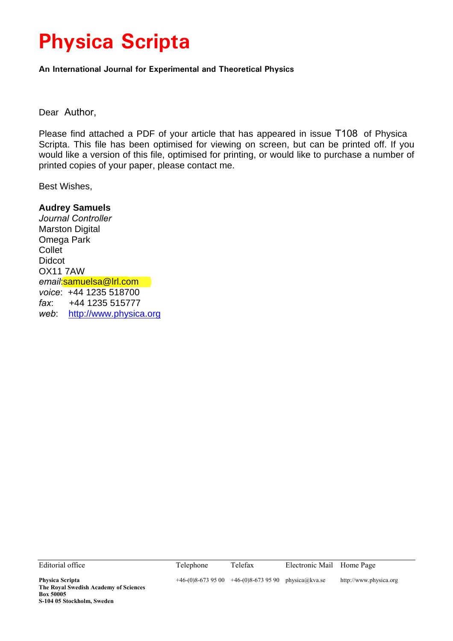# **Physica Scripta**

**An International Journal for Experimental and Theoretical Physics**

Dear Author,

Please find attached a PDF of your article that has appeared in issue T108 of Physica Scripta. This file has been optimised for viewing on screen, but can be printed off. If you would like a version of this file, optimised for printing, or would like to purchase a number of printed copies of your paper, please contact me.

Best Wishes,

### **Audrey Samuels**

*Journal Controller* Marston Digital Omega Park **Collet** Didcot OX11 7AW *email*:samuelsa@lrl.com *voice*: +44 1235 518700 *fax*: +44 1235 515777 *web*: http://www.physica.org

| Editorial office                                                                                                  | Telephone | Telefax                                              | Electronic Mail Home Page |                        |
|-------------------------------------------------------------------------------------------------------------------|-----------|------------------------------------------------------|---------------------------|------------------------|
| <b>Physica Scripta</b><br>The Royal Swedish Academy of Sciences<br><b>Box 50005</b><br>S-104 05 Stockholm, Sweden |           | $+46-(0)8-6739500$ $+46-(0)8-6739590$ physica@kva.se |                           | http://www.physica.org |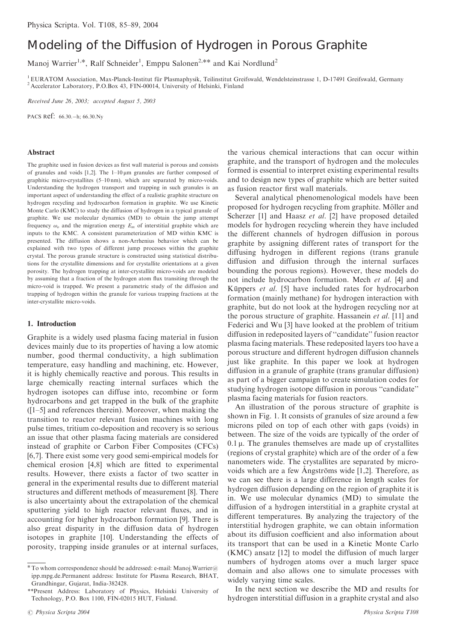## Modeling of the Diffusion of Hydrogen in Porous Graphite

Manoj Warrier<sup>1,\*</sup>, Ralf Schneider<sup>1</sup>, Emppu Salonen<sup>2,\*\*</sup> and Kai Nordlund<sup>2</sup>

<sup>1</sup> EURATOM Association, Max-Planck-Institut für Plasmaphysik, Teilinstitut Greifswald, Wendelsteinstrasse 1, D-17491 Greifswald, Germany <sup>2</sup> Accelerator Laboratory, P.O.Box 43, FIN-00014, University of Helsinki, Finland

Received June 26, 2003; accepted August 5, 2003

PACS Ref: 66.30.-h; 66.30.Ny

#### Abstract

The graphite used in fusion devices as first wall material is porous and consists of granules and voids  $[1,2]$ . The  $1-10 \mu m$  granules are further composed of graphitic micro-crystallites  $(5-10 \text{ nm})$ , which are separated by micro-voids. Understanding the hydrogen transport and trapping in such granules is an important aspect of understanding the effect of a realistic graphite structure on hydrogen recycling and hydrocarbon formation in graphite. We use Kinetic Monte Carlo (KMC) to study the diffusion of hydrogen in a typical granule of graphite. We use molecular dynamics (MD) to obtain the jump attempt frequency  $\omega_0$  and the migration energy  $E_m$  of interstitial graphite which are inputs to the KMC. A consistent parameterization of MD within KMC is presented. The diffusion shows a non-Arrhenius behavior which can be explained with two types of different jump processes within the graphite crystal. The porous granule structure is constructed using statistical distributions for the crystallite dimensions and for crystallite orientations at a given porosity. The hydrogen trapping at inter-crystallite micro-voids are modeled by assuming that a fraction of the hydrogen atom flux transiting through the micro-void is trapped. We present a parametric study of the diffusion and trapping of hydrogen within the granule for various trapping fractions at the inter-crystallite micro-voids.

#### 1. Introduction

Graphite is a widely used plasma facing material in fusion devices mainly due to its properties of having a low atomic number, good thermal conductivity, a high sublimation temperature, easy handling and machining, etc. However, it is highly chemically reactive and porous. This results in large chemically reacting internal surfaces which the hydrogen isotopes can diffuse into, recombine or form hydrocarbons and get trapped in the bulk of the graphite ([1–5] and references therein). Moreover, when making the transition to reactor relevant fusion machines with long pulse times, tritium co-deposition and recovery is so serious an issue that other plasma facing materials are considered instead of graphite or Carbon Fiber Composites (CFCs) [6,7]. There exist some very good semi-empirical models for chemical erosion [4,8] which are fitted to experimental results. However, there exists a factor of two scatter in general in the experimental results due to different material structures and different methods of measurement [8]. There is also uncertainty about the extrapolation of the chemical sputtering yield to high reactor relevant fluxes, and in accounting for higher hydrocarbon formation [9]. There is also great disparity in the diffusion data of hydrogen isotopes in graphite [10]. Understanding the effects of porosity, trapping inside granules or at internal surfaces,

as fusion reactor first wall materials. Several analytical phenomenological models have been proposed for hydrogen recycling from graphite. Möller and Scherzer [1] and Haasz et al. [2] have proposed detailed models for hydrogen recycling wherein they have included

the various chemical interactions that can occur within graphite, and the transport of hydrogen and the molecules formed is essential to interpret existing experimental results and to design new types of graphite which are better suited

the different channels of hydrogen diffusion in porous graphite by assigning different rates of transport for the diffusing hydrogen in different regions (trans granule diffusion and diffusion through the internal surfaces bounding the porous regions). However, these models do not include hydrocarbon formation. Mech et al. [4] and Küppers *et al.* [5] have included rates for hydrocarbon formation (mainly methane) for hydrogen interaction with graphite, but do not look at the hydrogen recycling nor at the porous structure of graphite. Hassanein et al. [11] and Federici and Wu [3] have looked at the problem of tritium diffusion in redeposited layers of ''candidate'' fusion reactor plasma facing materials. These redeposited layers too have a porous structure and different hydrogen diffusion channels just like graphite. In this paper we look at hydrogen diffusion in a granule of graphite (trans granular diffusion) as part of a bigger campaign to create simulation codes for studying hydrogen isotope diffusion in porous ''candidate'' plasma facing materials for fusion reactors.

An illustration of the porous structure of graphite is shown in Fig. 1. It consists of granules of size around a few microns piled on top of each other with gaps (voids) in between. The size of the voids are typically of the order of  $0.1 \mu$ . The granules themselves are made up of crystallites (regions of crystal graphite) which are of the order of a few nanometers wide. The crystallites are separated by microvoids which are a few Angströms wide  $[1,2]$ . Therefore, as we can see there is a large difference in length scales for hydrogen diffusion depending on the region of graphite it is in. We use molecular dynamics (MD) to simulate the diffusion of a hydrogen interstitial in a graphite crystal at different temperatures. By analyzing the trajectory of the interstitial hydrogen graphite, we can obtain information about its diffusion coefficient and also information about its transport that can be used in a Kinetic Monte Carlo (KMC) ansatz [12] to model the diffusion of much larger numbers of hydrogen atoms over a much larger space domain and also allows one to simulate processes with widely varying time scales.

In the next section we describe the MD and results for hydrogen interstitial diffusion in a graphite crystal and also

 $*$  To whom correspondence should be addressed: e-mail: Manoj.Warrier@ ipp.mpg.de.Permanent address: Institute for Plasma Research, BHAT, Grandhingar, Gujarat, India-382428.

<sup>\*\*</sup>Present Address: Laboratory of Physics, Helsinki University of Technology, P.O. Box 1100, FIN-02015 HUT, Finland.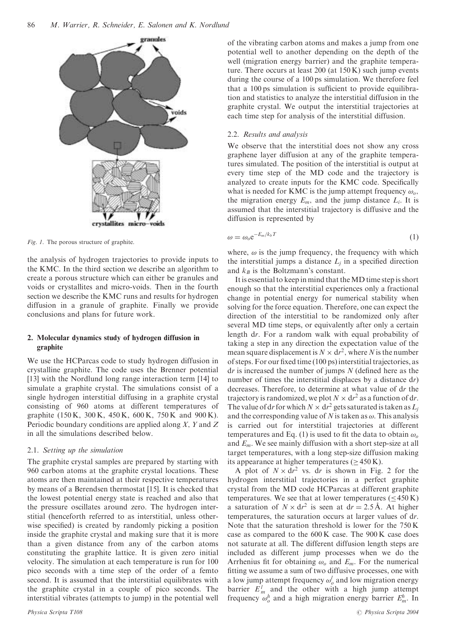

Fig. 1. The porous structure of graphite.

the analysis of hydrogen trajectories to provide inputs to the KMC. In the third section we describe an algorithm to create a porous structure which can either be granules and voids or crystallites and micro-voids. Then in the fourth section we describe the KMC runs and results for hydrogen diffusion in a granule of graphite. Finally we provide conclusions and plans for future work.

#### 2. Molecular dynamics study of hydrogen diffusion in graphite

We use the HCParcas code to study hydrogen diffusion in crystalline graphite. The code uses the Brenner potential [13] with the Nordlund long range interaction term [14] to simulate a graphite crystal. The simulations consist of a single hydrogen interstitial diffusing in a graphite crystal consisting of 960 atoms at different temperatures of graphite (150 K, 300 K, 450 K, 600 K, 750 K and 900 K). Periodic boundary conditions are applied along  $X$ ,  $Y$  and  $Z$ in all the simulations described below.

#### 2.1. Setting up the simulation

The graphite crystal samples are prepared by starting with 960 carbon atoms at the graphite crystal locations. These atoms are then maintained at their respective temperatures by means of a Berendsen thermostat [15]. It is checked that the lowest potential energy state is reached and also that the pressure oscillates around zero. The hydrogen interstitial (henceforth referred to as interstitial, unless otherwise specified) is created by randomly picking a position inside the graphite crystal and making sure that it is more than a given distance from any of the carbon atoms constituting the graphite lattice. It is given zero initial velocity. The simulation at each temperature is run for 100 pico seconds with a time step of the order of a femto second. It is assumed that the interstitial equilibrates with the graphite crystal in a couple of pico seconds. The interstitial vibrates (attempts to jump) in the potential well of the vibrating carbon atoms and makes a jump from one potential well to another depending on the depth of the well (migration energy barrier) and the graphite temperature. There occurs at least 200 (at 150 K) such jump events during the course of a 100 ps simulation. We therefore feel that a 100 ps simulation is sufficient to provide equilibration and statistics to analyze the interstitial diffusion in the graphite crystal. We output the interstitial trajectories at each time step for analysis of the interstitial diffusion.

#### 2.2. Results and analysis

We observe that the interstitial does not show any cross graphene layer diffusion at any of the graphite temperatures simulated. The position of the interstitial is output at every time step of the MD code and the trajectory is analyzed to create inputs for the KMC code. Specifically what is needed for KMC is the jump attempt frequency  $\omega_o$ , the migration energy  $E_m$ , and the jump distance  $L_i$ . It is assumed that the interstitial trajectory is diffusive and the diffusion is represented by

$$
\omega = \omega_o e^{-E_m/k_b T} \tag{1}
$$

where,  $\omega$  is the jump frequency, the frequency with which the interstitial jumps a distance  $L_j$  in a specified direction and  $k_B$  is the Boltzmann's constant.

It is essential to keep in mind that theMD time step is short enough so that the interstitial experiences only a fractional change in potential energy for numerical stability when solving for the force equation. Therefore, one can expect the direction of the interstitial to be randomized only after several MD time steps, or equivalently after only a certain length dr: For a random walk with equal probability of taking a step in any direction the expectation value of the mean square displacement is  $N \times dr^2$ , where N is the number of steps. For our fixed time (100 ps) interstitial trajectories, as  $dr$  is increased the number of jumps  $N$  (defined here as the number of times the interstitial displaces by a distance dr) decreases. Therefore, to determine at what value of dr the trajectory is randomized, we plot  $N \times dr^2$  as a function of dr. The value of dr for which  $N \times dr^2$  gets saturated is taken as  $L_i$ and the corresponding value of N is taken as  $\omega$ . This analysis is carried out for interstitial trajectories at different temperatures and Eq. (1) is used to fit the data to obtain  $\omega_0$ and  $E_m$ . We see mainly diffusion with a short step-size at all target temperatures, with a long step-size diffusion making its appearance at higher temperatures  $(>450 \text{ K})$ .

A plot of  $N \times dr^2$  vs. dr is shown in Fig. 2 for the hydrogen interstitial trajectories in a perfect graphite crystal from the MD code HCParcas at different graphite temperatures. We see that at lower temperatures  $(< 450 K)$ a saturation of  $N \times dr^2$  is seen at  $dr = 2.5 \text{ Å}$ . At higher temperatures, the saturation occurs at larger values of dr: Note that the saturation threshold is lower for the 750 K case as compared to the 600 K case. The 900 K case does not saturate at all. The different diffusion length steps are included as different jump processes when we do the Arrhenius fit for obtaining  $\omega_0$  and  $E_m$ . For the numerical fitting we assume a sum of two diffusive processes, one with a low jump attempt frequency  $\omega_o^l$  and low migration energy barrier  $E_m^l$  and the other with a high jump attempt frequency  $\omega_o^h$  and a high migration energy barrier  $E_m^h$ . In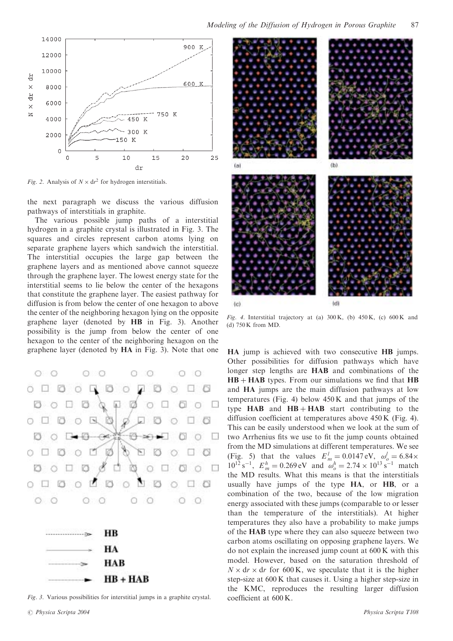



Fig. 2. Analysis of  $N \times dr^2$  for hydrogen interstitials.

the next paragraph we discuss the various diffusion pathways of interstitials in graphite.

The various possible jump paths of a interstitial hydrogen in a graphite crystal is illustrated in Fig. 3. The squares and circles represent carbon atoms lying on separate graphene layers which sandwich the interstitial. The interstitial occupies the large gap between the graphene layers and as mentioned above cannot squeeze through the graphene layer. The lowest energy state for the interstitial seems to lie below the center of the hexagons that constitute the graphene layer. The easiest pathway for diffusion is from below the center of one hexagon to above the center of the neighboring hexagon lying on the opposite graphene layer (denoted by HB in Fig. 3). Another possibility is the jump from below the center of one hexagon to the center of the neighboring hexagon on the graphene layer (denoted by HA in Fig. 3). Note that one HA jump is achieved with two consecutive HB jumps.



| нв         |  |  |
|------------|--|--|
| HА         |  |  |
| <b>HAB</b> |  |  |
| $HB + HAB$ |  |  |

Fig. 3. Various possibilities for interstitial jumps in a graphite crystal.



Fig. 4. Interstitial trajectory at (a)  $300 \text{ K}$ , (b)  $450 \text{ K}$ , (c)  $600 \text{ K}$  and (d) 750 K from MD.

Other possibilities for diffusion pathways which have longer step lengths are HAB and combinations of the  $HB + HAB$  types. From our simulations we find that  $HB$ and HA jumps are the main diffusion pathways at low temperatures (Fig. 4) below  $450 \text{ K}$  and that jumps of the type  $HAB$  and  $HB + HAB$  start contributing to the diffusion coefficient at temperatures above 450 K (Fig. 4). This can be easily understood when we look at the sum of two Arrhenius fits we use to fit the jump counts obtained from the MD simulations at different temperatures. We see (Fig. 5) that the values  $E_m^l = 0.0147 \text{ eV}, \omega_o^l = 6.84 \times$  $10^{12} \text{ s}^{-1}$ ,  $E_m^h = 0.269 \text{ eV}$  and  $\omega_o^h = 2.74 \times 10^{13} \text{ s}^{-1}$  match the MD results. What this means is that the interstitials usually have jumps of the type HA, or HB, or a combination of the two, because of the low migration energy associated with these jumps (comparable to or lesser than the temperature of the interstitials). At higher temperatures they also have a probability to make jumps of the HAB type where they can also squeeze between two carbon atoms oscillating on opposing graphene layers. We do not explain the increased jump count at 600 K with this model. However, based on the saturation threshold of  $N \times dr \times dr$  for 600 K, we speculate that it is the higher step-size at 600 K that causes it. Using a higher step-size in the KMC, reproduces the resulting larger diffusion coefficient at 600 K.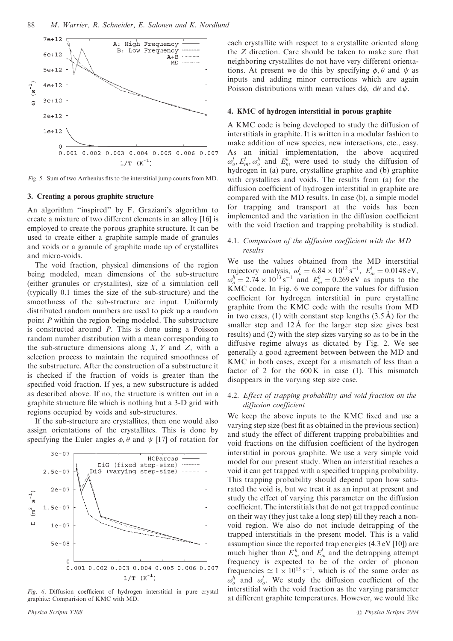

Fig. 5. Sum of two Arrhenius fits to the interstitial jump counts from MD.

#### 3. Creating a porous graphite structure

An algorithm ''inspired'' by F. Graziani's algorithm to create a mixture of two different elements in an alloy [16] is employed to create the porous graphite structure. It can be used to create either a graphite sample made of granules and voids or a granule of graphite made up of crystallites and micro-voids.

The void fraction, physical dimensions of the region being modeled, mean dimensions of the sub-structure (either granules or crystallites), size of a simulation cell (typically 0.1 times the size of the sub-structure) and the smoothness of the sub-structure are input. Uniformly distributed random numbers are used to pick up a random point P within the region being modeled. The substructure is constructed around  $P$ . This is done using a Poisson random number distribution with a mean corresponding to the sub-structure dimensions along  $X$ ,  $Y$  and  $Z$ , with a selection process to maintain the required smoothness of the substructure. After the construction of a substructure it is checked if the fraction of voids is greater than the specified void fraction. If yes, a new substructure is added as described above. If no, the structure is written out in a graphite structure file which is nothing but a 3-D grid with regions occupied by voids and sub-structures.

If the sub-structure are crystallites, then one would also assign orientations of the crystallites. This is done by specifying the Euler angles  $\phi$ ,  $\theta$  and  $\psi$  [17] of rotation for



Fig. 6. Diffusion coefficient of hydrogen interstitial in pure crystal graphite: Comparision of KMC with MD.

each crystallite with respect to a crystallite oriented along the Z direction. Care should be taken to make sure that neighboring crystallites do not have very different orientations. At present we do this by specifying  $\phi$ ,  $\theta$  and  $\psi$  as inputs and adding minor corrections which are again Poisson distributions with mean values  $d\phi$ ,  $d\theta$  and  $d\psi$ .

#### 4. KMC of hydrogen interstitial in porous graphite

A KMC code is being developed to study the diffusion of interstitials in graphite. It is written in a modular fashion to make addition of new species, new interactions, etc., easy. As an initial implementation, the above acquired  $\omega_0^l$ ,  $E_m^l$ ,  $\omega_0^h$  and  $E_m^h$  were used to study the diffusion of hydrogen in (a) pure, crystalline graphite and (b) graphite with crystallites and voids. The results from (a) for the diffusion coefficient of hydrogen interstitial in graphite are compared with the MD results. In case (b), a simple model for trapping and transport at the voids has been implemented and the variation in the diffusion coefficient with the void fraction and trapping probability is studied.

#### 4.1. Comparison of the diffusion coefficient with the MD results

We use the values obtained from the MD interstitial trajectory analysis,  $\omega_o^l = 6.84 \times 10^{12} \text{ s}^{-1}$ ,  $E_m^l = 0.0148 \text{ eV}$ ,  $\omega_0^h = 2.74 \times 10^{13} \,\text{s}^{-1}$  and  $E_m^h = 0.269 \,\text{eV}$  as inputs to the KMC code. In Fig. 6 we compare the values for diffusion coefficient for hydrogen interstitial in pure crystalline graphite from the KMC code with the results from MD in two cases, (1) with constant step lengths  $(3.5 \text{ Å})$  for the smaller step and  $12 \text{ Å}$  for the larger step size gives best results) and (2) with the step sizes varying so as to be in the diffusive regime always as dictated by Fig. 2. We see generally a good agreement between between the MD and KMC in both cases, except for a mismatch of less than a factor of 2 for the  $600 \text{ K}$  in case (1). This mismatch disappears in the varying step size case.

#### 4.2. Effect of trapping probability and void fraction on the diffusion coefficient

We keep the above inputs to the KMC fixed and use a varying step size (best fit as obtained in the previous section) and study the effect of different trapping probabilities and void fractions on the diffusion coefficient of the hydrogen interstitial in porous graphite. We use a very simple void model for our present study. When an interstitial reaches a void it can get trapped with a specified trapping probability. This trapping probability should depend upon how saturated the void is, but we treat it as an input at present and study the effect of varying this parameter on the diffusion coefficient. The interstitials that do not get trapped continue on their way (they just take a long step) till they reach a nonvoid region. We also do not include detrapping of the trapped interstitials in the present model. This is a valid assumption since the reported trap energies (4.3 eV [10]) are much higher than  $E_m^h$  and  $E_m^l$  and the detrapping attempt frequency is expected to be of the order of phonon frequencies  $\approx 1 \times 10^{13} \text{ s}^{-1}$ , which is of the same order as  $\omega_0^h$  and  $\omega_0^l$ . We study the diffusion coefficient of the interstitial with the void fraction as the varying parameter at different graphite temperatures. However, we would like